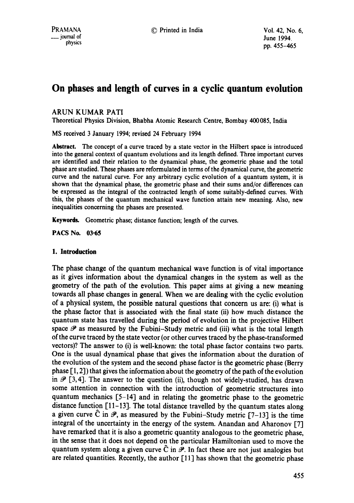# **On phases and length of curves in a cyclic quantum evolution**

## ARUN KUMAR PATI

Theoretical Physics Division, Bhabha Atomic Research Centre, Bombay 400085, India

MS received 3 January 1994; revised 24 February 1994

**Abstract.** The concept of a curve traced by a state vector in the Hilbert space is introduced into the general context of quantum evolutions and its length defined. Three important curves are identified and their relation to the dynamical phase, the geometric phase and the total phase are studied. These phases are reformulated in terms of the dynamical curve, the geometric curve and the natural curve. For any arbitrary cyclic evolution of a quantum system, it is shown that the dynamical phase, the geometric phase and their sums and/or differences can be expressed as the integral of the contracted length of some suitably-defined curves. With this, the phases of the quantum mechanical wave function attain new meaning. Also, new inequalities concerning the phases are presented.

Keywords. Geometric phase; distance function; length of the curves.

**PACS No. 03.65** 

## **1. Introduction**

The phase change of the quantum mechanical wave function is of vital importance as it gives information about the dynamical changes in the system as well as the geometry of the path of the evolution. This paper aims at giving a new meaning towards all phase changes in general. When we are dealing with the cyclic evolution of a physical system, the possible natural questions that concern us are: (i) what is the phase factor that is associated with the final state (ii) how much distance the quantum state has travelled during the period of evolution in the projective Hilbert space  $\mathscr P$  as measured by the Fubini-Study metric and (iii) what is the total length of the curve traced by the state vector (or other curves traced by the phase-transformed vectors)? The answer to (i) is well-known: the total phase factor contains two parts. One is the usual dynamical phase that gives the information about the duration of the evolution of the system and the second phase factor is the geometric phase (Berry phase [ 1, 2]) that gives the information about the geometry of the path of the evolution in  $\mathscr{P}$  [3,4]. The answer to the question (ii), though not widely-studied, has drawn some attention in connection with the introduction of geometric structures into quantum mechanics [5-14] and in relating the geometric phase to the geometric distance function [11-13]. The total distance travelled by the quantum states along a given curve  $\hat{C}$  in  $\mathcal{P}$ , as measured by the Fubini-Study metric [7-13] is the time integral of the uncertainty in the energy of the system. Anandan and Aharonov [7] have remarked that it is also a geometric quantity analogous to the geometric phase, in the sense that it does not depend on the particular Hamiltonian used to move the quantum system along a given curve C in  $\mathscr{P}$ . In fact these are not just analogies but are related quantities. Recently, the author [11] has shown that the geometric phase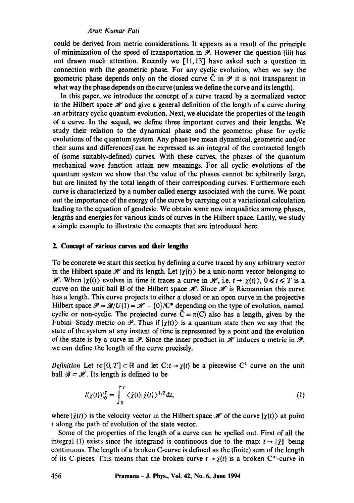could be derived from metric considerations. It appears as a result of the principle of minimization of the speed of transportation in  $\mathcal P$ . However the question (iii) has not drawn much attention. Recently we  $[11,13]$  have asked such a question in connection with the geometric phase. For any cyclic evolution, when we say the geometric phase depends only on the closed curve  $\tilde{C}$  in  $\mathcal{P}$  it is not transparent in what way the phase depends on the curve (unless we define the curve and its length).

In this paper, we introduce the concept of a curve traced by a normalized vector in the Hilbert space  $\mathcal{H}$  and give a general definition of the length of a curve during an arbitrary cyclic quantum evolution. Next, we elucidate the properties of the length of a curve. In the sequel, we define three important curves and their lengths. We study their relation to the dynamical phase and the geometric phase for cyclic evolutions of the quantum system. Any phase (we mean dynamical, geometric and/or their sums and differences) can be expressed as an integral of the contracted length of (some suitably-defined) curves. With these curves, the phases of the quantum mechanical wave function attain new meanings. For all cyclic evolutions of the quantum system we show that the value of the phases cannot be arbitrarily large, but are limited by the total length of their corresponding curves. Furthermore each curve is characterized by a number called energy associated with the curve. We point out the importance of the energy of the curve by carrying out a variational calculation leading to the equation of geodesic. We obtain some new inequalities among phases, lengths and energies for various kinds of curves in the Hilbert space. Lastly, we study a simple example to illustrate the concepts that are introduced here.

#### **2. Concept of various curves and their lengths**

To be concrete we start this section by defining a curve traced by any arbitrary vector in the Hilbert space  $\mathcal{H}$  and its length. Let  $|\gamma(t)\rangle$  be a unit-norm vector belonging to  $\mathcal{H}$ . When  $|\chi(t)\rangle$  evolves in time it traces a curve in  $\mathcal{H}$ , i.e.  $t \rightarrow |\chi(t)\rangle$ ,  $0 \le t \le T$  is a curve on the unit ball  $\mathbb B$  of the Hilbert space  $\mathscr H$ . Since  $\mathscr H$  is Riemannian this curve has a length. This curve projects to either a closed or an open curve in the projective Hilbert space  $\mathcal{P} = \mathcal{B}/U(1) = \mathcal{H} - \{0\}/C^*$  depending on the type of evolution, named cyclic or non-cyclic. The projected curve  $\hat{C} = \pi(C)$  also has a length, given by the Fubini-Study metric on  $\mathcal{P}$ . Thus if  $|\chi(t)\rangle$  is a quantum state then we say that the state of the system at any instant of time is represented by a point and the evolution of the state is by a curve in  $\mathcal{P}$ . Since the inner product in  $\mathcal{H}$  induces a metric in  $\mathcal{P}$ , we can define the length of the curve precisely.

*Definition* Let  $t \in [0, T] \subset \mathbb{R}$  and let  $C: t \to \chi(t)$  be a piecewise C<sup>1</sup> curve on the unit ball  $\mathscr{B} \subset \mathscr{H}$ . Its length is defined to be

$$
l(\chi(t))|_{0}^{T} = \int_{0}^{T} \langle \dot{\chi}(t) | \dot{\chi}(t) \rangle^{1/2} \mathrm{d}t, \qquad (1)
$$

where  $|\dot{\chi}(t)\rangle$  is the velocity vector in the Hilbert space  $\mathcal{H}$  of the curve  $|\chi(t)\rangle$  at point t along the path of evolution of the state vector.

Some of the properties of the length of a curve can be spelled out. First of all the integral (1) exists since the integrand is continuous due to the map:  $t \rightarrow ||\dot{\chi}||$  being continuous. The length of a broken C-curve is defined as the (finite) sum of the length of its C-pieces. This means that the broken curve  $t \to \gamma(t)$  is a broken C<sup>∞</sup>-curve in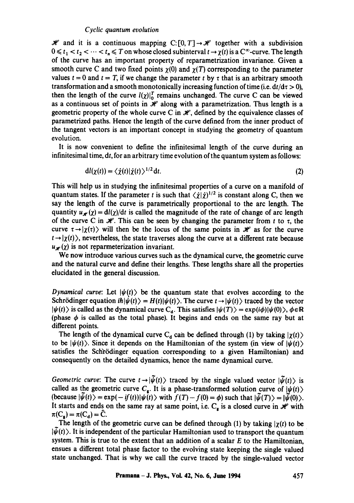$\mathcal{H}$  and it is a continuous mapping C: [0, T]  $\rightarrow \mathcal{H}$  together with a subdivision  $0 \leq t_1 < t_2 < \cdots < t_n \leq T$  on whose closed subinterval  $t \to \chi(t)$  is a  $C^{\infty}$ -curve. The length of the curve has an important property of reparametrization invariance. Given a smooth curve C and two fixed points  $\chi$ (0) and  $\chi$ (T) corresponding to the parameter values  $t = 0$  and  $t = T$ , if we change the parameter t by t that is an arbitrary smooth transformation and a smooth monotonically increasing function of time (i.e.  $dt/d\tau > 0$ ), then the length of the curve  $l(\chi)|_0^T$  remains unchanged. The curve C can be viewed as a continuous set of points in  $\mathcal H$  along with a parametrization. Thus length is a geometric property of the whole curve C in  $\mathcal{H}$ , defined by the equivalence classes of parametrized paths. Hence the length of the curve defined from the inner product of the tangent vectors is an important concept in studying the geometry of quantum evolution.

It is now convenient to define the infinitesimal length of the curve during an infinitesimal time, dt, for an arbitrary time evolution of the quantum system as follows:

$$
dl(\chi(t)) = \langle \dot{\chi}(t) | \dot{\chi}(t) \rangle^{1/2} dt. \tag{2}
$$

This will help us in studying the infinitesimal properties of a curve on a manifold of quantum states. If the parameter t is such that  $\langle \chi | \chi \rangle^{1/2}$  is constant along C, then we say the length of the curve is parametrically proportional to the arc length. The quantity  $u_{\mathcal{H}}(\chi) = \frac{dI(\chi)}{d\tau}$  is called the magnitude of the rate of change of arc length of the curve C in  $\mathcal{H}$ . This can be seen by changing the parameter from t to t, the curve  $\tau \rightarrow |\chi(\tau)\rangle$  will then be the locus of the same points in  $\mathcal{H}$  as for the curve  $t \rightarrow |\chi(t)\rangle$ , nevertheless, the state traverses along the curve at a different rate because  $u_{\mathscr{H}}(\chi)$  is not reparmeterization invariant.

We now introduce various curves such as the dynamical curve, the geometric curve and the natural curve and define their lengths. These lengths share all the properties elucidated in the general discussion.

*Dynamical curve:* Let  $|\psi(t)\rangle$  be the quantum state that evolves according to the Schrödinger equation  $i\hbar/\psi(t)$  =  $H(t)/\psi(t)$ . The curve  $t \rightarrow |\psi(t)\rangle$  traced by the vector  $|\psi(t)\rangle$  is called as the dynamical curve C<sub>d</sub>. This satisfies  $|\psi(T)\rangle = \exp(i\phi)|\psi(0)\rangle$ ,  $\phi \in \mathbb{R}$ (phase  $\phi$  is called as the total phase). It begins and ends on the same ray but at different points.

The length of the dynamical curve C<sub>d</sub> can be defined through (1) by taking  $|\chi(t)\rangle$ to be  $|\psi(t)\rangle$ . Since it depends on the Hamiltonian of the system (in view of  $|\psi(t)\rangle$ ) satisfies the Schrödinger equation corresponding to a given Hamiltonian) and consequently on the detailed dynamics, hence the name dynamical curve.

*Geometric curve:* The curve  $t \rightarrow |\psi(t)\rangle$  traced by the single valued vector  $|\psi(t)\rangle$  is called as the geometric curve  $C_s$ . It is a phase-transformed solution curve of  $|\psi(t)\rangle$ (because  $|\psi(t)\rangle = \exp(-if(t))|\psi(t)\rangle$  with  $f(T)-f(0) = \phi$ ) such that  $|\tilde{\psi}(T)\rangle = |\tilde{\psi}(0)\rangle$ . It starts and ends on the same ray at same point, i.e.  $C_g$  is a closed curve in  $\mathcal H$  with  $\pi(C_{\bf g}) = \pi(C_{\bf d}) = \overline{C}.$ 

The length of the geometric curve can be defined through (1) by taking  $|\chi(t)|$  to be  $|\psi(t)\rangle$ . It is independent of the particular Hamiltonian used to transport the quantum system. This is true to the extent that an addition of a scalar  $E$  to the Hamiltonian, ensues a different total phase factor to the evolving state keeping the single valued state unchanged. That is why we call the curve traced by the single-valued vector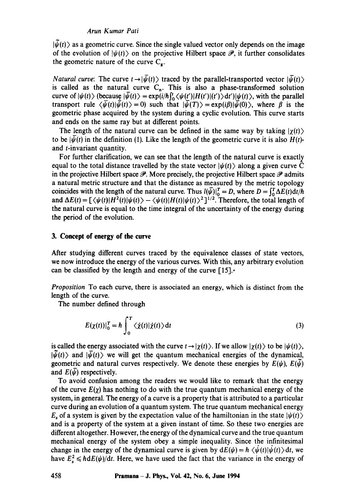$|\psi(t)\rangle$  as a geometric curve. Since the single valued vector only depends on the image of the evolution of  $|\psi(t)\rangle$  on the projective Hilbert space  $\mathcal{P}$ , it further consolidates the geometric nature of the curve  $C_{\rm g}$ .

*Natural curve:* The curve  $t \rightarrow |\psi(t)\rangle$  traced by the parallel-transported vector  $|\bar{\psi}(t)\rangle$ is called as the natural curve  $C_n$ . This is also a phase-transformed solution curve of  $|\psi(t)\rangle$  (because  $|\bar{\psi}(t)\rangle = \exp(i/\hbar \int_0^t \langle \psi(t')|H(t')|(t')\rangle dt')|\psi(t)\rangle$ , with the parallel transport rule  $\langle \bar{\psi}(t)|\bar{\psi}(t)\rangle=0$  such that  $|\bar{\psi}(T)\rangle=\exp(i\beta)|\bar{\psi}(0)\rangle$ , where  $\beta$  is the geometric phase acquired by the system during a cyclic evolution. This curve starts and ends on the same ray but at different points.

The length of the natural curve can be defined in the same way by taking  $|\gamma(t)\rangle$ to be  $|\psi(t)|$  in the definition (1). Like the length of the geometric curve it is also  $H(t)$ and t-invariant quantity.

For further clarification, we can see that the length of the natural curve is exactly equal to the total distance travelled by the state vector  $|\psi(t)\rangle$  along a given curve  $\tilde{C}$ in the projective Hilbert space  $\mathscr P$ . More precisely, the projective Hilbert space  $\mathscr P$  admits a natural metric structure and that the distance as measured by the metric topology coincides with the length of the natural curve. Thus  $l(\bar{\psi})|_{0}^{T} = D$ , where  $D = \int_{0}^{T} \Delta E(t) dt / \hbar$ and  $\Delta E(t) = \left[\langle \psi(t) | H^2(t) | \psi(t) \rangle - \langle \psi(t) | H(t) | \psi(t) \rangle^2 \right]^{1/2}$ . Therefore, the total length of the natural curve is equal to the time integral of the uncertainty of the energy during the period of the evolution.

## **3. Concept of energy of the curve**

After studying different curves traced by the equivalence classes of state vectors, we now introduce the energy of the various curves. With this, any arbitrary evolution can be classified by the length and energy of the curve  $[15]$ .

*Proposition* To each curve, there is associated an energy, which is distinct from the length of the curve.

The number defined through

$$
E(\chi(t))|_{0}^{T} = \hbar \int_{0}^{T} \langle \dot{\chi}(t) | \dot{\chi}(t) \rangle dt
$$
 (3)

is called the energy associated with the curve  $t \to |\chi(t)\rangle$ . If we allow  $|\chi(t)\rangle$  to be  $|\psi(t)\rangle$ ,  $|\psi(t)\rangle$  and  $|\bar{\psi}(t)\rangle$  we will get the quantum mechanical energies of the dynamical, geometric and natural curves respectively. We denote these energies by  $E(\psi)$ ,  $E(\psi)$ and  $E(\psi)$  respectively.

To avoid confusion among the readers we would like to remark that the energy of the curve  $E(\chi)$  has nothing to do with the true quantum mechanical energy of the system, in general. The energy of a curve is a property that is attributed to a particular curve during an evolution of a quantum system. The true quantum mechanical energy  $E<sub>s</sub>$  of a system is given by the expectation value of the hamiltonian in the state  $|\psi(t)\rangle$ and is a property of the system at a given instant of time. So these two energies are different altogether. However, the energy of the dynamical curve and the true quantum mechanical energy of the system obey a simple inequality. Since the infinitesimal change in the energy of the dynamical curve is given by  $dE(\psi) = h \langle \psi(t) | \psi(t) \rangle dt$ , we have  $E_s^2 \le h dE(\psi)/dt$ . Here, we have used the fact that the variance in the energy of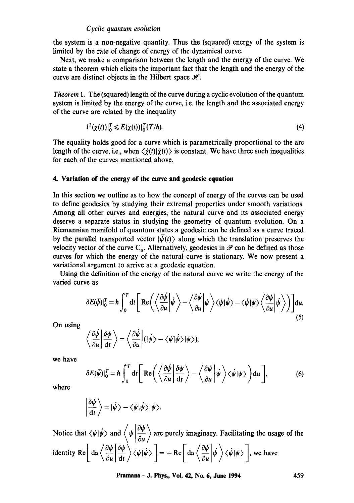the system is a non-negative quantity. Thus the (squared) energy of the system is limited by the rate of change of energy of the dynamical curve.

Next, we make a comparison between the length and the energy of the curve. We state a theorem which elicits the important fact that the length and the energy of the curve are distinct objects in the Hilbert space  $\mathcal{H}$ .

*Theorem 1.* The (squared) length of the curve during a cyclic evolution of the quantum system is limited by the energy of the curve, i.e. the length and the associated energy of the curve are related by the inequality

$$
l^{2}(\chi(t))|_{0}^{T} \leqslant E(\chi(t))|_{0}^{T}(T/\hbar). \tag{4}
$$

The equality holds good for a curve which is parametrically proportional to the arc length of the curve, i.e., when  $\langle \dot{\chi}(t)|\dot{\chi}(t)\rangle$  is constant. We have three such inequalities for each of the curves mentioned above.

## **4.. Variation of the energy of the curve and geodesic equation**

In this section we outline as to how the concept of energy of the curves can be used to define geodesics by studying their extremal properties under smooth variations. Among all other curves and energies, the natural curve and its associated energy deserve a separate status in studying the geometry of quantum evolution. On a Riemannian manifold of quantum states a geodesic can be defined as a curve traced by the parallel transported vector  $|\bar{\psi}(t)\rangle$  along which the translation preserves the velocity vector of the curve C<sub>n</sub>. Alternatively, geodesics in  $\mathscr P$  can be defined as those curves for which the energy of the natural curve is stationary. We now present a variational argument to arrive at a geodesic equation.

Using the definition of the energy of the natural curve we write the energy of the varied curve as

$$
\delta E(\vec{\psi})|_{0}^{T} = \hbar \int_{0}^{T} dt \left[ \text{Re} \left( \left\langle \frac{\partial \dot{\psi}}{\partial u} \middle| \dot{\psi} \right\rangle - \left\langle \frac{\partial \dot{\psi}}{\partial u} \middle| \psi \right\rangle \langle \psi | \dot{\psi} \rangle - \left\langle \dot{\psi} | \psi \right\rangle \left\langle \frac{\partial \psi}{\partial u} \middle| \dot{\psi} \right\rangle \right) \right] du.
$$
\n(5)

On using

$$
\left\langle \frac{\partial \dot{\psi}}{\partial u} \middle| \frac{\partial \psi}{\partial t} \right\rangle = \left\langle \frac{\partial \dot{\psi}}{\partial u} \middle| (|\dot{\psi}\rangle - \langle \psi | \dot{\psi} \rangle | \psi \rangle), \right\rangle
$$

we have

$$
\delta E(\bar{\psi})|_{0}^{T} = \hbar \int_{0}^{T} dt \left[ \text{Re} \left( \left\langle \frac{\partial \dot{\psi}}{\partial u} \middle| \frac{\delta \psi}{dt} \right\rangle - \left\langle \frac{\partial \psi}{\partial u} \middle| \dot{\psi} \right\rangle \langle \dot{\psi} | \psi \rangle \right) du \right], \tag{6}
$$

where

$$
\left|\frac{\delta\psi}{\mathrm{d}t}\right\rangle = |\dot{\psi}\rangle - \langle \psi|\dot{\psi}\rangle |\psi\rangle.
$$

Notice that  $\langle \psi | \psi \rangle$  and  $\langle \psi | \psi \rangle$  are purely imaginary. Facilitating the usage of the identity Re  $\left| \frac{du}{2} \left| \frac{v \psi}{v} \right| \right| \gg \left| \frac{v \psi}{v} \right| = - \text{Re} \left| \frac{du}{v} \left| \frac{v \psi}{v} \right| \right| \gg \sqrt{\psi \psi}$ , we have

**Pramana - J. Phys., Vol. 42, No. 6, June 1994 459**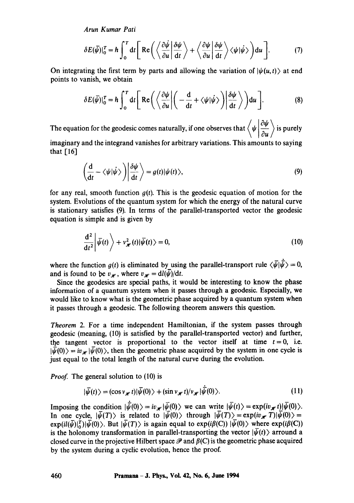$$
\delta E(\bar{\psi})|_{0}^{T} = \hbar \int_{0}^{T} dt \left[ \text{Re} \left( \left\langle \frac{\partial \dot{\psi}}{\partial u} \middle| \frac{\delta \psi}{dt} \right\rangle + \left\langle \frac{\partial \psi}{\partial u} \middle| \frac{\delta \psi}{dt} \right\rangle \langle \psi | \dot{\psi} \rangle \right) du \right]. \tag{7}
$$

On integrating the first term by parts and allowing the variation of  $|\psi(u, t)\rangle$  at end points to vanish, we obtain

$$
\delta E(\bar{\psi})|_{0}^{T} = \hbar \int_{0}^{T} dt \left[ \text{Re} \left( \left\langle \frac{\partial \psi}{\partial u} \middle| \left( -\frac{d}{dt} + \langle \psi | \dot{\psi} \rangle \right) \middle| \frac{\delta \psi}{dt} \right\rangle \right) du \right]. \tag{8}
$$

The equation for the geodesic comes naturally, if one observes that  $\left\langle \psi \left| \frac{\partial \psi}{\partial u} \right\rangle$  is purely

imaginary and the integrand vanishes for arbitrary variations. This amounts to saying that  $[16]$ 

$$
\left(\frac{\mathrm{d}}{\mathrm{d}t} - \langle \psi | \dot{\psi} \rangle \right) \left| \frac{\delta \psi}{\mathrm{d}t} \right\rangle = g(t) | \psi(t) \rangle, \tag{9}
$$

for any real, smooth function *g(t).* This is the geodesic equation of motion for the system. Evolutions of the quantum system for which the energy of the natural curve is stationary satisfies (9). In terms of the parallel-transported vector the geodesic equation is simple and is given by

$$
\frac{\mathrm{d}^2}{\mathrm{d}t^2} \left| \bar{\psi}(t) \right\rangle + v_{\mathscr{H}}^2(t) \left| \bar{\psi}(t) \right\rangle = 0, \tag{10}
$$

where the function  $g(t)$  is eliminated by using the parallel-transport rule  $\langle \bar{\psi} | \dot{\bar{\psi}} \rangle = 0$ , and is found to be  $v_{\mathscr{H}}$ , where  $v_{\mathscr{H}} = \frac{dI(\psi)}{dt}$ .

Since the geodesics are special paths, it would be interesting to know the phase information of a quantum system when it passes through a geodesic. Especially, we would like to know what is the geometric phase acquired by a quantum system when it passes through a geodesic. The following theorem answers this question.

*Theorem* 2. For a time independent Hamiltonian, if the system passes through geodesic (meaning, (10) is satisfied by the parallel-transported vector) and further, the tangent vector is proportional to the vector itself at time  $t=0$ , i.e.  $|\bar{\psi}(0)\rangle = iv_{\mathscr{H}}|\bar{\psi}(0)\rangle$ , then the geometric phase acquired by the system in one cycle is just equal to the total length of the natural curve during the evolution.

*Proof.* The general solution to (10) is

$$
|\bar{\psi}(t)\rangle = (\cos v_{\mathscr{H}} t)|\bar{\psi}(0)\rangle + (\sin v_{\mathscr{H}} t)/v_{\mathscr{H}}|\bar{\psi}(0)\rangle.
$$
 (11)

Imposing the condition  $|\dot{\psi}(0)\rangle = iv_{\mathscr{H}}|\dot{\psi}(0)\rangle$  we can write  $|\dot{\psi}(t)\rangle = \exp(iv_{\mathscr{H}} t) |\dot{\psi}(0)\rangle$ . In one cycle,  $|\bar{\psi}(T)\rangle$  is related to  $|\bar{\psi}(0)\rangle$  through  $|\bar{\psi}(T)\rangle = \exp(i v_{\mathscr{H}} T) |\bar{\psi}(0)\rangle =$  $\exp\left(i\left(\bar{\psi}\right)\left|\bar{\psi}(0)\right\rangle$ . But  $|\bar{\psi}(T)\rangle$  is again equal to  $\exp\left(i\beta(C)\right)|\bar{\psi}(0)\rangle$  where  $\exp\left(i\beta(C)\right)$ is the holonomy transformation in parallel-transporting the vector  $|\bar{\psi}(t)\rangle$  arround a closed curve in the projective Hilbert space  $\mathscr P$  and  $\beta(C)$  is the geometric phase acquired by the system during a cyclic evolution, hence the proof.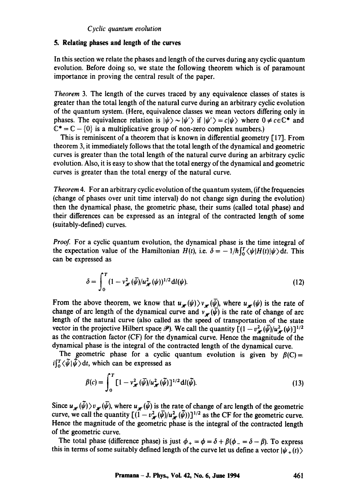## **5. Relating phases and length of the curves**

In this section we relate the phases and length of the curves during any cyclic quantum evolution. Before doing so, we state the following theorem which is of paramount importance in proving the central result of the paper.

*Theorem* 3. The length of the curves traced by any equivalence classes of states is greater than the total length of the natural curve during an arbitrary cyclic evolution of the quantum system. (Here, equivalence classes we mean vectors differing only in phases. The equivalence relation is  $|\psi\rangle \sim |\psi'\rangle$  if  $|\psi'\rangle = c|\psi\rangle$  where  $0 \neq c \in \mathbb{C}^*$  and  $\mathbb{C}^* = \mathbb{C} - \{0\}$  is a multiplicative group of non-zero complex numbers.)

This is reminiscent of a theorem that is known in differential geometry [17]. From theorem 3, it immediately follows that the total length of the dynamical and geometric curves is greater than the total length of the natural curve during an arbitrary cyclic evolution. Also, it is easy to show that the total energy of the dynamical and geometric curves is greater than the total energy of the natural curve.

*Theorem4.* For an arbitrary cyclic evolution of the quantum system, (if the frequencies (change of phases over unit time interval) do not change sign during the evolution) then the dynamical phase, the geometric phase, their sums (called total phase) and their differences can be expressed as an integral of the contracted length of some (suitably-defined) curves.

*Proof.* For a cyclic quantum evolution, the dynamical phase is the time integral of the expectation value of the Hamiltonian  $H(t)$ , i.e.  $\delta = -1/\hbar \int_0^T \langle \psi | H(t) | \psi \rangle dt$ . This can be expressed as

$$
\delta = \int_0^T (1 - v_{\mathscr{H}}^2 (\bar{\psi}) / u_{\mathscr{H}}^2 (\psi))^{1/2} \, \mathrm{d} l(\psi). \tag{12}
$$

From the above theorem, we know that  $u_{\mu}(\psi) \rangle v_{\mu}(\bar{\psi})$ , where  $u_{\mu}(\psi)$  is the rate of change of arc length of the dynamical curve and  $v_{\psi}(\bar{\psi})$  is the rate of change of arc length of the natural curve (also called as the speed of transportation of the state vector in the projective Hilbert space  $\mathscr{P}$ ). We call the quantity  $[(1 - v_{\star}^2(\bar{\psi})/u_{\star}^2(\psi))]^{1/2}$ as the contraction factor (CF) for the dynamical curve. Hence the magnitude of the dynamical phase is the integral of the contracted length of the dynamical curve.

The geometric phase for a cyclic quantum evolution is given by  $\beta(C)$  =  $i\left(\frac{r}{\alpha}\langle \tilde{\psi} | \tilde{\psi} \rangle \mathrm{d}t$ , which can be expressed as

$$
\beta(c) = \int_0^T \left[1 - v_{\mathscr{H}}^2(\bar{\psi})/u_{\mathscr{H}}^2(\bar{\psi})\right]^{1/2} \mathrm{d}l(\bar{\psi}).\tag{13}
$$

Since  $u_{\psi}(\psi)$ )  $v_{\psi}(\psi)$ , where  $u_{\psi}(\psi)$  is the rate of change of arc length of the geometric curve, we call the quantity  $[(1 - v_{\ast}^2(\psi))]^{1/2}$  as the CF for the geometric curve. Hence the magnitude of the geometric phase is the integral of the contracted length of the geometric curve.

The total phase (difference phase) is just  $\phi_+ = \phi = \delta + \beta(\phi_- = \delta - \beta)$ . To express this in terms of some suitably defined length of the curve let us define a vector  $|\psi_{+}(t)\rangle$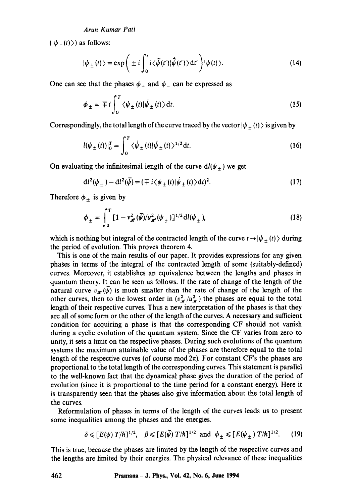$(|\psi_-(t)\rangle)$  as follows:

$$
|\psi_{\pm}(t)\rangle = \exp\bigg(\pm i\int_0^t i\langle \tilde{\psi}(t')|\tilde{\psi}(t')\rangle dt'\bigg)|\psi(t)\rangle.
$$
 (14)

One can see that the phases  $\phi_+$  and  $\phi_-$  can be expressed as

$$
\phi_{\pm} = \mp i \int_0^T \langle \psi_{\pm}(t) | \dot{\psi}_{\pm}(t) \rangle dt. \tag{15}
$$

Correspondingly, the total length of the curve traced by the vector  $|\psi_{\pm}(t)\rangle$  is given by

$$
l(\psi_{\pm}(t))|_{0}^{T} = \int_{0}^{T} \langle \dot{\psi}_{\pm}(t) | \dot{\psi}_{\pm}(t) \rangle^{1/2} dt.
$$
 (16)

On evaluating the infinitesimal length of the curve  $dl(\psi_{\pm})$  we get

$$
dl2(\psi_{\pm}) - dl2(\overline{\psi}) = (\mp i \langle \psi_{\pm}(t) | \dot{\psi}_{\pm}(t) \rangle dt)2.
$$
 (17)

Therefore  $\phi_{\pm}$  is given by

$$
\phi_{\pm} = \int_0^T [1 - v_{\mathcal{H}}^2(\bar{\psi})/u_{\mathcal{H}}^2(\psi_{\pm})]^{1/2} dl(\psi_{\pm}), \qquad (18)
$$

which is nothing but integral of the contracted length of the curve  $t \rightarrow |\psi_{+}(t)\rangle$  during the period of evolution. This proves theorem 4.

This is one of the main results of our paper. It provides expressions for any given phases in terms of the integral of the contracted length of some (suitably-defined) curves. Moreover, it establishes an equivalence between the lengths and phases in quantum theory. It can be seen as follows. If the rate of change of the length of the natural curve  $v_{\mathscr{H}}(\bar{\psi})$  is much smaller than the rate of change of the length of the other curves, then to the lowest order in  $(v_{\star}^2/u_{\star}^2)$  the phases are equal to the total length of their respective curves. Thus a new interpretation of the phases is that they are all of some form or the other of the length of the curves. A necessary and sufficient condition for acquiring a phase is that the corresponding CF should not vanish during a cyclic evolution of the quantum system. Since the CF varies from zero to unity, it sets a limit on the respective phases. During such evolutions of the quantum systems the maximum attainable value of the phases are therefore equal to the total length of the respective curves (of course mod  $2\pi$ ). For constant CF's the phases are proportional to the total length of the corresponding curves. This statement is parallel to the well-known fact that the dynamical phase gives the duration of the period of evolution (since it is proportional to the time period for a constant energy). Here it is transparently seen that the phases also give information about the total length of the curves.

Reformulation of phases in terms of the length of the curves leads us to present some inequalities among the phases and the energies.

$$
\delta \leq [E(\psi) T/\hbar]^{1/2}, \quad \beta \leq [E(\tilde{\psi}) T/\hbar]^{1/2} \text{ and } \phi_{\pm} \leq [E(\psi_{\pm}) T/\hbar]^{1/2}. \tag{19}
$$

This is true, because the phases are limited by the length of the respective curves and the lengths are limited by their energies. The physical relevance of these inequalities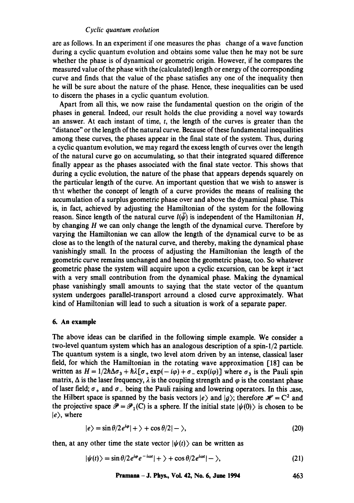are as follows. In an experiment if one measures the phas change of a wave function during a cyclic quantum evolution and obtains some value then he may not be sure whether the phase is of dynamical or geometric origin. However, if he compares the measured value of the phase with the (calculated) length or energy of the corresponding curve and finds that the value of the phase satisfies any one of the inequality then he will be sure about the nature of the phase. Hence, these inequalities can be used to discern the phases in a cyclic quantum evolution.

Apart from all this, we now raise the fundamental question on the origin of the phases in general. Indeed, our result holds the clue providing a novel way towards an answer. At each instant of time,  $t$ , the length of the curves is greater than the "distance" or the length of the natural curve. Because of these fundamental inequalities among these curves, the phases appear in the final state of the system. Thus, during a cyclic quantum evolution, we may regard the excess length of curves over the length of the natural curve go on accumulating, so that their integrated squared difference finally appear as the phases associated with the final state vector. This shows that during a cyclic evolution, the nature of the phase that appears depends squarely on the particular length of the curve. An important question that we wish to answer is that whether the concept of length of a curve provides the means of realising the accumulation of a surplus geometric phase over and above the dynamical phase. This is, in fact, achieved by adjusting the Hamiltonian of the system for the following reason. Since length of the natural curve  $l(\bar{\psi})$  is independent of the Hamiltonian H, by changing  $H$  we can only change the length of the dynamical curve. Therefore by varying the Hamiltonian we can allow the length of the dynamical curve to be as close as to the length of the natural curve, and thereby, making the dynamical phase vanishingly small. In the process of adjusting the Hamiltonian the length of the geometric curve remains unchanged and hence the geometric phase, too. So whatever geometric phase the system will acquire upon a cyclic excursion, can be kept ir 'act with a very small contribution from the dynamical phase. Making the dynamical phase vanishingly small amounts to saying that the state vector of the quantum system undergoes parallel-transport arround a closed curve approximately. What kind of Hamiltonian will lead to such a situation is work of a separate paper.

#### **6. An example**

The above ideas can be clarified in the following simple example. We consider a two-level quantum system which has an analogous description of a spin-l/2 particle. The quantum system is a single, two level atom driven by an intense, classical laser field, for which the Hamiltonian in the rotating wave approximation 118] can be written as  $H = 1/2\hbar\Delta\sigma_3 + \hbar\lambda[\sigma_+ \exp(-i\varphi) + \sigma_- \exp(i\varphi)]$  where  $\sigma_3$  is the Pauli spin matrix,  $\Delta$  is the laser frequency,  $\lambda$  is the coupling strength and  $\varphi$  is the constant phase of laser field;  $\sigma_+$  and  $\sigma_-$  being the Pauli raising and lowering operators. In this case, the Hilbert space is spanned by the basis vectors  $|e\rangle$  and  $|g\rangle$ ; therefore  $\mathcal{H} = C^2$  and the projective space  $\mathcal{P} = \mathcal{P}_1(C)$  is a sphere. If the initial state  $|\psi(0)\rangle$  is chosen to be  $|e\rangle$ , where

$$
|e\rangle = \sin \theta / 2 e^{i\varphi} | + \rangle + \cos \theta / 2 | - \rangle, \tag{20}
$$

then, at any other time the state vector  $|\psi(t)\rangle$  can be written as

$$
|\psi(t)\rangle = \sin\theta/2e^{i\varphi}e^{-i\omega t}|+\rangle + \cos\theta/2e^{i\omega t}|-\rangle, \qquad (21)
$$

**Pramana - J. Phys., VoL 42, No. 6, June 1994 463**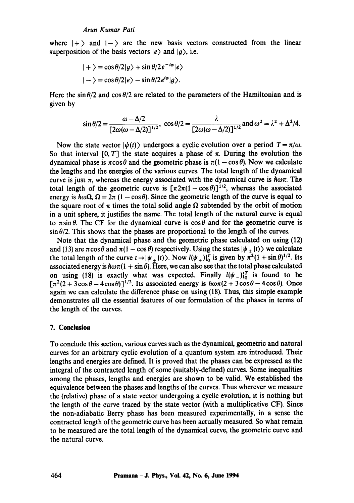where  $|+\rangle$  and  $|-\rangle$  are the new basis vectors constructed from the linear superposition of the basis vectors  $|e\rangle$  and  $|g\rangle$ , i.e.

$$
|+\rangle = \cos \theta/2|g\rangle + \sin \theta/2e^{-i\varphi}|e\rangle
$$
  

$$
|-\rangle = \cos \theta/2|e\rangle - \sin \theta/2e^{i\varphi}|g\rangle.
$$

Here the  $\sin \theta/2$  and  $\cos \theta/2$  are related to the parameters of the Hamiltonian and is given by

$$
\sin \theta/2 = \frac{\omega - \Delta/2}{\left[2\omega(\omega - \Delta/2)\right]^{1/2}}, \cos \theta/2 = \frac{\lambda}{\left[2\omega(\omega - \Delta/2)\right]^{1/2}} \text{ and } \omega^2 = \lambda^2 + \Delta^2/4.
$$

Now the state vector  $|\psi(t)\rangle$  undergoes a cyclic evolution over a period  $T=\pi/\omega$ . So that interval  $[0, T]$  the state acquires a phase of  $\pi$ . During the evolution the dynamical phase is  $\pi \cos \theta$  and the geometric phase is  $\pi(1 - \cos \theta)$ . Now we calculate the lengths and the energies of the various curves. The total length of the dynamical curve is just  $\pi$ , whereas the energy associated with the dynamical curve is  $\hbar\omega\pi$ . The total length of the geometric curve is  $[\pi 2\pi(1-\cos\theta)]^{1/2}$ , whereas the associated energy is  $\hbar \omega \Omega$ ,  $\Omega = 2\pi (1 - \cos \theta)$ . Since the geometric length of the curve is equal to the square root of  $\pi$  times the total solid angle  $\Omega$  subtended by the orbit of motion in a unit sphere, it justifies the name. The total length of the natural curve is equal to  $\pi \sin \theta$ . The CF for the dynamical curve is  $\cos \theta$  and for the geometric curve is  $\sin \theta/2$ . This shows that the phases are proportional to the length of the curves.

Note that the dynamical phase and the geometric phase calculated on using (12) and (13) are  $\pi \cos \theta$  and  $\pi (1 - \cos \theta)$  respectively. Using the states  $|\psi_{+}(t)\rangle$  we calculate the total length of the curve  $t\rightarrow |\psi_{+}(t)\rangle$ . Now  $l(\psi_{+})|_{0}^{t}$  is given by  $\pi^{2}(1+\sin\theta)^{1/2}$ . Its associated energy is  $\hbar\omega\pi(1+\sin\theta)$ . Here, we can also see that the total phase calculated on using (18) is exactly what was expected. Finally  $l(\psi_-)|_0^T$  is found to be  $[\pi^2(2 + 3\cos\theta - 4\cos\theta)]^{1/2}$ . Its associated energy is  $h\omega\pi(2 + 3\cos\theta - 4\cos\theta)$ . Once again we can calculate the difference phase on using (18). Thus, this simple example demonstrates all the essential features of our formulation of the phases in terms of the length of the curves.

#### **7. Conclusion**

To conclude this section, various curves such as the dynamical, geometric and natural curves for an arbitrary cyclic evolution of a quantum system are introduced. Their lengths and energies are defined. It is proved that the phases can be expressed as the integral of the contracted length of some (suitably-defined) curves. Some inequalities among the phases, lengths and energies are shown to be valid. We established the equivalence between the phases and lengths of the curves. Thus wherever we measure the (relative) phase of a state vector undergoing a cyclic evolution, it is nothing but the length of the curve traced by the state vector (with a multiplicative CF). Since the non-adiabatic Berry phase has been measured experimentally, in a sense the contracted length of the geometric curve has been actually measured. So what remain to be measured are the total length of the dynamical curve, the geometric curve and the natural curve.